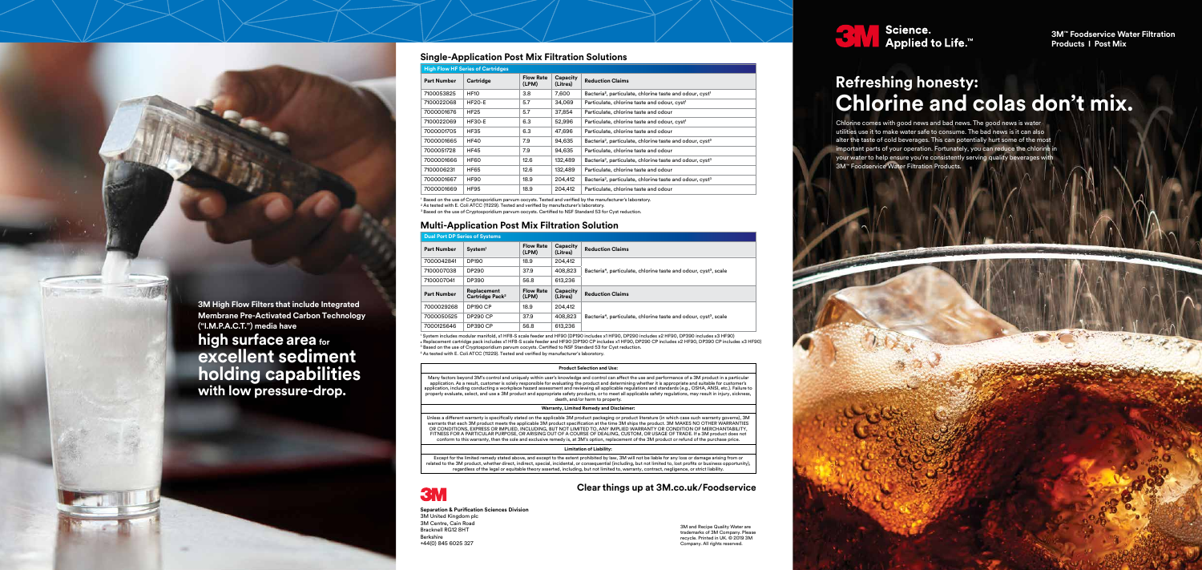

Chlorine comes with good news and bad news. The good news is water utilities use it to make water safe to consume. The bad news is it can also alter the taste of cold beverages. This can potentially hurt some of the most important parts of your operation. Fortunately, you can reduce the chlorine in your water to help ensure you're consistently serving quality beverages with 3M™ Foodservice Water Filtration Products.

# **Refreshing honesty: Chlorine and colas don't mix.**

**3M™ Foodservice Water Filtration Products I Post Mix** 

# **Clear things up at 3M.co.uk/Foodservice**

| <b>High Flow HF Series of Cartridges</b> |               |                           |                      |                                                                                  |  |  |  |
|------------------------------------------|---------------|---------------------------|----------------------|----------------------------------------------------------------------------------|--|--|--|
| <b>Part Number</b>                       | Cartridge     | <b>Flow Rate</b><br>(LPM) | Capacity<br>(Litres) | <b>Reduction Claims</b>                                                          |  |  |  |
| 7100053825                               | <b>HF10</b>   | 3.8                       | 7,600                | Bacteria <sup>2</sup> , particulate, chlorine taste and odour, cyst <sup>1</sup> |  |  |  |
| 7100022068                               | <b>HF20-E</b> | 5.7                       | 34,069               | Particulate, chlorine taste and odour, cyst <sup>1</sup>                         |  |  |  |
| 7000001676                               | <b>HF25</b>   | 5.7                       | 37,854               | Particulate, chlorine taste and odour                                            |  |  |  |
| 7100022069                               | <b>HF30-E</b> | 6.3                       | 52,996               | Particulate, chlorine taste and odour, cyst <sup>1</sup>                         |  |  |  |
| 7000001705                               | HF35          | 6.3                       | 47,696               | Particulate, chlorine taste and odour                                            |  |  |  |
| 7000001665                               | <b>HF40</b>   | 7.9                       | 94,635               | Bacteria <sup>2</sup> , particulate, chlorine taste and odour, cyst <sup>3</sup> |  |  |  |
| 7000051728                               | <b>HF45</b>   | 7.9                       | 94,635               | Particulate, chlorine taste and odour                                            |  |  |  |
| 7000001666                               | <b>HF60</b>   | 12.6                      | 132,489              | Bacteria <sup>2</sup> , particulate, chlorine taste and odour, cyst <sup>3</sup> |  |  |  |
| 7100006231                               | <b>HF65</b>   | 12.6                      | 132,489              | Particulate, chlorine taste and odour                                            |  |  |  |
| 7000001667                               | <b>HF90</b>   | 18.9                      | 204,412              | Bacteria <sup>2</sup> , particulate, chlorine taste and odour, cyst <sup>3</sup> |  |  |  |
| 7000001669                               | <b>HF95</b>   | 18.9                      | 204,412              | Particulate, chlorine taste and odour                                            |  |  |  |
|                                          |               |                           |                      |                                                                                  |  |  |  |

<sup>1</sup> System includes modular manifold, x1 HF8-S scale feeder and HF90 (DP190 includes x1 HF90, DP290 includes x2 HF90, DP390 includes x3 HF90) 2 Replacement cartridge pack includes x1 HF8-S scale feeder and HF90 (DP190 CP includes x1 HF90, DP290 CP includes x2 HF90, DP390 CP includes x3 HF90)  $^8$  Based on the use of Cryptosporidium parvum oocysts. Certified to NSF Standard 53 for Cyst reduction.

## **Dual Port DP Series of Systems**

**(Litres) Reduction Claims**

particulate, chlorine taste and odour, cyst<sup>3</sup>, scale

particulate, chlorine taste and odour, cyst<sup>3</sup>, scale

| <b>Part Number</b> | System <sup>1</sup>                        | <b>Flow Rate</b><br>(LPM) | Capacity<br>(Litres) | <b>Reduction Claims</b>           |
|--------------------|--------------------------------------------|---------------------------|----------------------|-----------------------------------|
| 7000042841         | DP190                                      | 18.9                      | 204.412              |                                   |
| 7100007038         | DP290                                      | 37.9                      | 408,823              | Bacteria <sup>4</sup> , particula |
| 7100007041         | DP390                                      | 56.8                      | 613,236              |                                   |
|                    |                                            |                           |                      |                                   |
| <b>Part Number</b> | Replacement<br>Cartridge Pack <sup>2</sup> | <b>Flow Rate</b><br>(LPM) | Capacity<br>(Litres) | <b>Reduction Claims</b>           |
| 7000029268         | <b>DP190 CP</b>                            | 18.9                      | 204.412              |                                   |
| 7000050525         | <b>DP290 CP</b>                            | 37.9                      | 408,823              | Bacteria <sup>4</sup> , particula |
| 7000125646         | <b>DP390 CP</b>                            | 56.8                      | 613,236              |                                   |

# **Single-Application Post Mix Filtration Solutions**

# **Multi-Application Post Mix Filtration Solution**

<sup>1</sup> Based on the use of Cryptosporidium parvum oocysts. Tested and verified by the manufacturer's laboratory.  $^{\rm 2}$  As tested with E. Coli ATCC (11229). Tested and verified by manufacturer's laboratory. <sup>3</sup> Based on the use of Cryptosporidium parvum oocysts. Certified to NSF Standard 53 for Cyst reduction.

<sup>4</sup> As tested with E. Coli ATCC (11229). Tested and verified by manufacturer's laboratory.

**Separation & Purification Sciences Division** 3M United Kingdom plc 3M Centre, Cain Road Bracknell RG12 8HT Berkshire +44(0) 845 6025 327

3M and Recipe Quality Water are trademarks of 3M Company. Please recycle. Printed in UK. © 2019 3M Company. All rights reserved.



### **Product Selection and Use:**

Many factors beyond 3M's control and uniquely within user's knowledge and control can affect the use and performance of a 3M product in a particular application. As a result, customer is solely responsible for evaluating the product and determining whether it is appropriate and suitable for customer's application, including conducting a workplace hazard assessment and reviewing all applicable regulations and standards (e.g., OSHA, ANSI, etc.). Failure to properly evaluate, select, and use a 3M product and appropriate safety products, or to meet all applicable safety regulations, may result in injury, sickness, death, and/or harm to property.

### **Warranty, Limited Remedy and Disclaimer:**

Unless a different warranty is specifically stated on the applicable 3M product packaging or product literature (in which case such warranty governs), 3M warrants that each 3M product meets the applicable 3M product specification at the time 3M ships the product. 3M MAKES NO OTHER WARRANTIES OR CONDITIONS, EXPRESS OR IMPLIED, INCLUDING, BUT NOT LIMITED TO, ANY IMPLIED WARRANTY OR CONDITION OF MERCHANTABILITY, FITNESS FOR A PARTICULAR PURPOSE, OR ARISING OUT OF A COURSE OF DEALING, CUSTOM, OR USAGE OF TRADE. If a 3M product does not conform to this warranty, then the sole and exclusive remedy is, at 3M's option, replacement of the 3M product or refund of the purchase price.

## **Limitation of Liability:**

Except for the limited remedy stated above, and except to the extent prohibited by law, 3M will not be liable for any loss or damage arising from or related to the 3M product, whether direct, indirect, special, incidental, or consequential (including, but not limited to, lost profits or business opportunity), regardless of the legal or equitable theory asserted, including, but not limited to, warranty, contract, negligence, or strict liability.